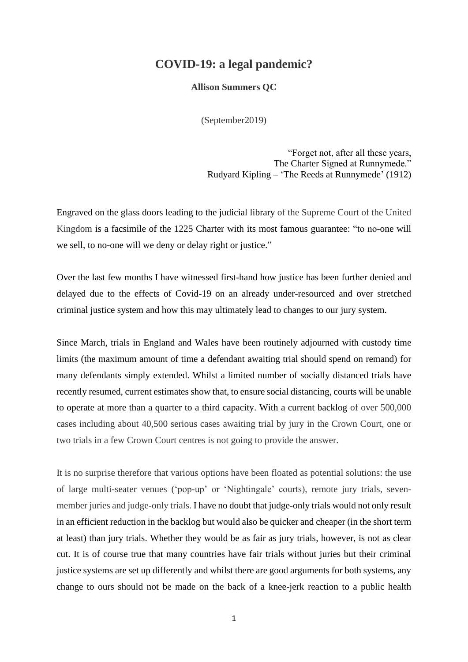## **COVID-19: a legal pandemic?**

**Allison Summers QC**

(September2019)

"Forget not, after all these years, The Charter Signed at Runnymede." Rudyard Kipling – 'The Reeds at Runnymede' (1912)

Engraved on the glass doors leading to the judicial library of the Supreme Court of the United Kingdom is a facsimile of the 1225 Charter with its most famous guarantee: "to no-one will we sell, to no-one will we deny or delay right or justice."

Over the last few months I have witnessed first-hand how justice has been further denied and delayed due to the effects of Covid-19 on an already under-resourced and over stretched criminal justice system and how this may ultimately lead to changes to our jury system.

Since March, trials in England and Wales have been routinely adjourned with custody time limits (the maximum amount of time a defendant awaiting trial should spend on remand) for many defendants simply extended. Whilst a limited number of socially distanced trials have recently resumed, current estimates show that, to ensure social distancing, courts will be unable to operate at more than a quarter to a third capacity. With a current backlog of over 500,000 cases including about 40,500 serious cases awaiting trial by jury in the Crown Court, one or two trials in a few Crown Court centres is not going to provide the answer.

It is no surprise therefore that various options have been floated as potential solutions: the use of large multi-seater venues ('pop-up' or 'Nightingale' courts), remote jury trials, sevenmember juries and judge-only trials. I have no doubt that judge-only trials would not only result in an efficient reduction in the backlog but would also be quicker and cheaper (in the short term at least) than jury trials. Whether they would be as fair as jury trials, however, is not as clear cut. It is of course true that many countries have fair trials without juries but their criminal justice systems are set up differently and whilst there are good arguments for both systems, any change to ours should not be made on the back of a knee-jerk reaction to a public health